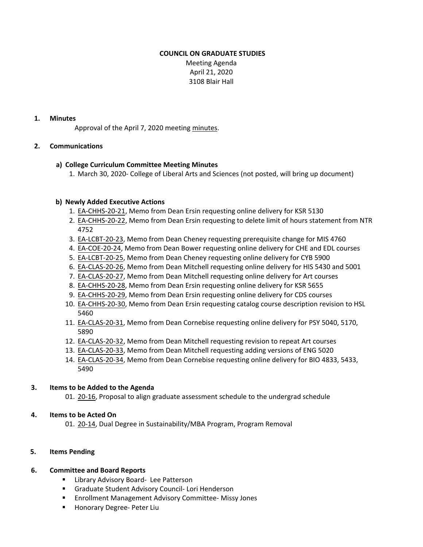## **COUNCIL ON GRADUATE STUDIES**

Meeting Agenda April 21, 2020 3108 Blair Hall

#### **1. Minutes**

Approval of the April 7, 2020 meeting [minutes.](https://castle.eiu.edu/~eiucgs/currentminutes/Minutes4-7-20.pdf)

## **2. Communications**

## **a) College Curriculum Committee Meeting Minutes**

1. March 30, 2020‐ College of Liberal Arts and Sciences (not posted, will bring up document)

#### **b) Newly Added Executive Actions**

- 1. EA‐[CHHS](http://castle.eiu.edu/eiucgs/exec-actions/EA-CHHS-20-21.pdf)‐20‐21, Memo from Dean Ersin requesting online delivery for KSR 5130
- 2. EA‐C[HHS-](http://castle.eiu.edu/eiucgs/exec-actions/EA-CHHS-20-22.pdf)20‐22, Memo from Dean Ersin requesting to delete limit of hours statement from NTR 4752
- 3. EA‐[LCBT](http://castle.eiu.edu/eiucgs/exec-actions/EA-LCBT-20-23.pdf)‐20‐23, Memo from Dean Cheney requesting prerequisite change for MIS 4760
- 4. EA‐[COE](http://castle.eiu.edu/eiucgs/exec-actions/EA-COE-20-24.pdf)‐20‐24, Memo from Dean Bower requesting online delivery for CHE and EDL courses
- 5. EA‐[LCBT](http://castle.eiu.edu/eiucgs/exec-actions/EA-LCBT-20-25.pdf)‐20‐25, Memo from Dean Cheney requesting online delivery for CYB 5900
- 6. EA‐[CLAS](http://castle.eiu.edu/eiucgs/exec-actions/EA-CLAS-20-26.pdf)‐20‐26, Memo from Dean Mitchell requesting online delivery for HIS 5430 and 5001
- 7. EA‐[CLAS](http://castle.eiu.edu/eiucgs/exec-actions/EA-CLAS-20-27.pdf)‐20‐27, Memo from Dean Mitchell requesting online delivery for Art courses
- 8. EA‐[CHHS](http://castle.eiu.edu/eiucgs/exec-actions/EA-CHHS-20-28.pdf)‐20‐28, Memo from Dean Ersin requesting online delivery for KSR 5655
- 9. EA‐[CHHS](http://castle.eiu.edu/eiucgs/exec-actions/EA-CHHS-20-29.pdf)‐20‐29, Memo from Dean Ersin requesting online delivery for CDS courses
- 10. EA-[CHHS](http://castle.eiu.edu/eiucgs/exec-actions/EA-CHHS-20-30.pdf)-20-30, Memo from Dean Ersin requesting catalog course description revision to HSL 5460
- 11. EA‐[CLAS](http://castle.eiu.edu/eiucgs/exec-actions/EA-CLAS-20-31.pdf)‐20‐31, Memo from Dean Cornebise requesting online delivery for PSY 5040, 5170, 5890
- 12. EA‐[CLAS](http://castle.eiu.edu/eiucgs/exec-actions/EA-CLAS-20-32.pdf)‐20‐32, Memo from Dean Mitchell requesting revision to repeat Art courses
- 13. EA‐[CLAS](http://castle.eiu.edu/eiucgs/exec-actions/EA-CLAS-20-33.pdf)‐20‐33, Memo from Dean Mitchell requesting adding versions of ENG 5020
- 14. EA‐[CLAS](http://castle.eiu.edu/eiucgs/exec-actions/EA-CLAS-20-34.pdf)‐20‐34, Memo from Dean Cornebise requesting online delivery for BIO 4833, 5433, 5490

## **3. Items to be Added to the Agenda**

01[. 20](https://castle.eiu.edu/eiucgs/currentagendaitems/agenda20-16.pdf)‐16, Proposal to align graduate assessment schedule to the undergrad schedule

## **4. Items to be Acted On**

01. 20-[14,](https://castle.eiu.edu/eiucgs/currentagendaitems/agenda20-14.pdf) Dual Degree in Sustainability/MBA Program, Program Removal

## **5. Items Pending**

## **6. Committee and Board Reports**

- Library Advisory Board- Lee Patterson
- Graduate Student Advisory Council- Lori Henderson
- Enrollment Management Advisory Committee-Missy Jones
- Honorary Degree- Peter Liu